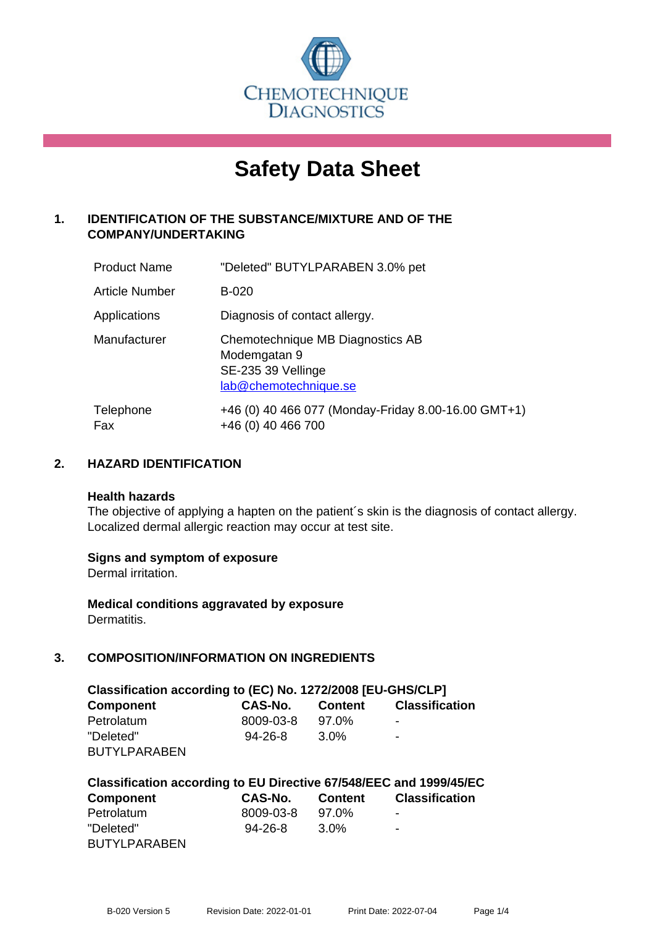

# **Safety Data Sheet**

# **1. IDENTIFICATION OF THE SUBSTANCE/MIXTURE AND OF THE COMPANY/UNDERTAKING**

| <b>Product Name</b>   | "Deleted" BUTYLPARABEN 3.0% pet                                                                 |
|-----------------------|-------------------------------------------------------------------------------------------------|
| <b>Article Number</b> | <b>B-020</b>                                                                                    |
| Applications          | Diagnosis of contact allergy.                                                                   |
| Manufacturer          | Chemotechnique MB Diagnostics AB<br>Modemgatan 9<br>SE-235 39 Vellinge<br>lab@chemotechnique.se |
| Telephone<br>Fax      | +46 (0) 40 466 077 (Monday-Friday 8.00-16.00 GMT+1)<br>+46 (0) 40 466 700                       |

## **2. HAZARD IDENTIFICATION**

#### **Health hazards**

The objective of applying a hapten on the patient's skin is the diagnosis of contact allergy. Localized dermal allergic reaction may occur at test site.

## **Signs and symptom of exposure**

Dermal irritation.

**Medical conditions aggravated by exposure** Dermatitis.

# **3. COMPOSITION/INFORMATION ON INGREDIENTS**

| Classification according to (EC) No. 1272/2008 [EU-GHS/CLP] |                |                  |                       |  |
|-------------------------------------------------------------|----------------|------------------|-----------------------|--|
| <b>Component</b>                                            | <b>CAS-No.</b> | <b>Content</b>   | <b>Classification</b> |  |
| Petrolatum                                                  | 8009-03-8      | 97.0%            | -                     |  |
| "Deleted"                                                   | $94 - 26 - 8$  | 3.0 <sup>%</sup> | -                     |  |
| <b>BUTYLPARABEN</b>                                         |                |                  |                       |  |

| Classification according to EU Directive 67/548/EEC and 1999/45/EC |               |         |                          |  |
|--------------------------------------------------------------------|---------------|---------|--------------------------|--|
| <b>Component</b>                                                   | CAS-No.       | Content | <b>Classification</b>    |  |
| Petrolatum                                                         | 8009-03-8     | 97.0%   | $\overline{\phantom{a}}$ |  |
| "Deleted"                                                          | $94 - 26 - 8$ | 3.0%    | $\blacksquare$           |  |
| <b>BUTYLPARABEN</b>                                                |               |         |                          |  |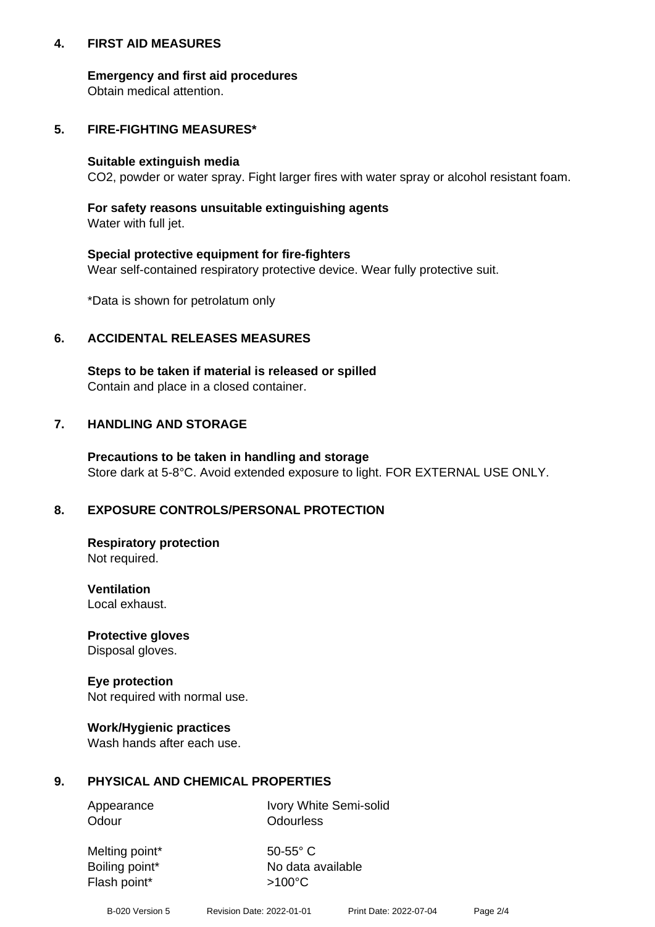## **4. FIRST AID MEASURES**

## **Emergency and first aid procedures**

Obtain medical attention.

## **5. FIRE-FIGHTING MEASURES\***

#### **Suitable extinguish media**

CO2, powder or water spray. Fight larger fires with water spray or alcohol resistant foam.

# **For safety reasons unsuitable extinguishing agents**

Water with full jet.

## **Special protective equipment for fire-fighters**

Wear self-contained respiratory protective device. Wear fully protective suit.

\*Data is shown for petrolatum only

## **6. ACCIDENTAL RELEASES MEASURES**

**Steps to be taken if material is released or spilled** Contain and place in a closed container.

# **7. HANDLING AND STORAGE**

**Precautions to be taken in handling and storage** Store dark at 5-8°C. Avoid extended exposure to light. FOR EXTERNAL USE ONLY.

# **8. EXPOSURE CONTROLS/PERSONAL PROTECTION**

**Respiratory protection** Not required.

**Ventilation** Local exhaust.

**Protective gloves** Disposal gloves.

#### **Eye protection** Not required with normal use.

## **Work/Hygienic practices**

Wash hands after each use.

## **9. PHYSICAL AND CHEMICAL PROPERTIES**

Odour **Odourless** 

Appearance Ivory White Semi-solid

Melting point\* 50-55° C Flash point\* >100°C

Boiling point\* No data available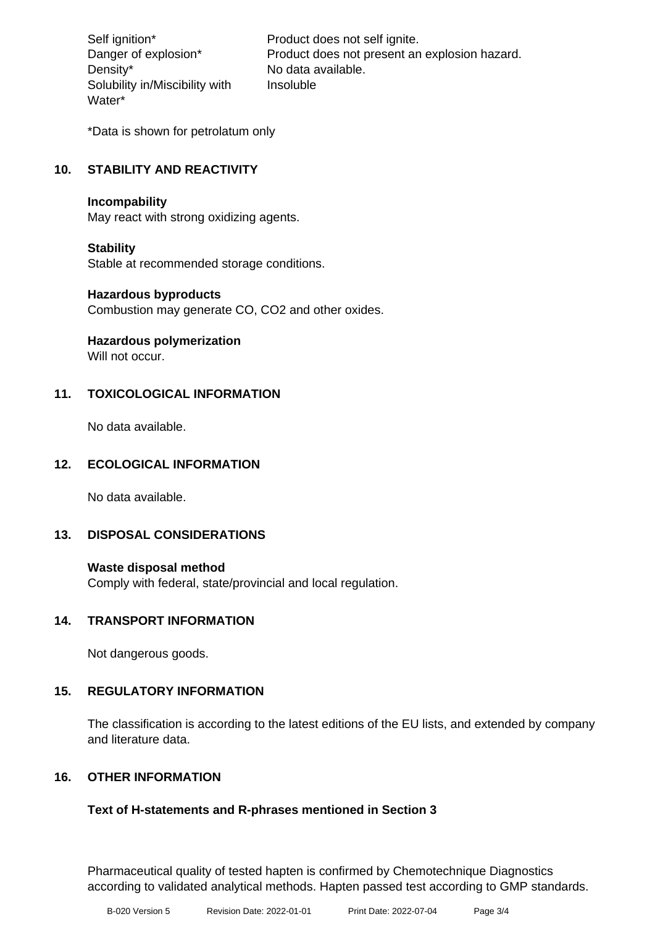Density\* No data available. Solubility in/Miscibility with Water\*

Self ignition\* Product does not self ignite. Danger of explosion\* Product does not present an explosion hazard. Insoluble

\*Data is shown for petrolatum only

# **10. STABILITY AND REACTIVITY**

#### **Incompability**

May react with strong oxidizing agents.

## **Stability**

Stable at recommended storage conditions.

#### **Hazardous byproducts**

Combustion may generate CO, CO2 and other oxides.

**Hazardous polymerization**

Will not occur.

## **11. TOXICOLOGICAL INFORMATION**

No data available.

## **12. ECOLOGICAL INFORMATION**

No data available.

## **13. DISPOSAL CONSIDERATIONS**

#### **Waste disposal method**

Comply with federal, state/provincial and local regulation.

#### **14. TRANSPORT INFORMATION**

Not dangerous goods.

## **15. REGULATORY INFORMATION**

The classification is according to the latest editions of the EU lists, and extended by company and literature data.

## **16. OTHER INFORMATION**

## **Text of H-statements and R-phrases mentioned in Section 3**

Pharmaceutical quality of tested hapten is confirmed by Chemotechnique Diagnostics according to validated analytical methods. Hapten passed test according to GMP standards.